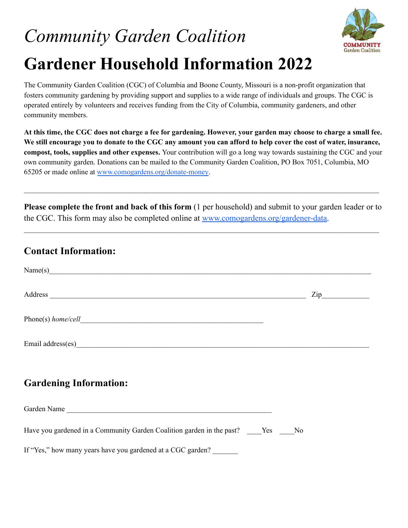# *Community Garden Coalition* **Gardener Household Information 2022**



The Community Garden Coalition (CGC) of Columbia and Boone County, Missouri is a non-profit organization that fosters community gardening by providing support and supplies to a wide range of individuals and groups. The CGC is operated entirely by volunteers and receives funding from the City of Columbia, community gardeners, and other community members.

At this time, the CGC does not charge a fee for gardening. However, your garden may choose to charge a small fee. We still encourage you to donate to the CGC any amount you can afford to help cover the cost of water, insurance, **compost, tools, supplies and other expenses.** Your contribution will go a long way towards sustaining the CGC and your own community garden. Donations can be mailed to the Community Garden Coalition, PO Box 7051, Columbia, MO 65205 or made online at [www.comogardens.org/donate-money](http://comogardens.org/donate-money/).

**Please complete the front and back of this form** (1 per household) and submit to your garden leader or to the CGC. This form may also be completed online at [www.comogardens.org/gardener-data.](http://comogardens.org/gardener-data)

 $\mathcal{L}_\mathcal{L} = \mathcal{L}_\mathcal{L} = \mathcal{L}_\mathcal{L} = \mathcal{L}_\mathcal{L} = \mathcal{L}_\mathcal{L} = \mathcal{L}_\mathcal{L} = \mathcal{L}_\mathcal{L} = \mathcal{L}_\mathcal{L} = \mathcal{L}_\mathcal{L} = \mathcal{L}_\mathcal{L} = \mathcal{L}_\mathcal{L} = \mathcal{L}_\mathcal{L} = \mathcal{L}_\mathcal{L} = \mathcal{L}_\mathcal{L} = \mathcal{L}_\mathcal{L} = \mathcal{L}_\mathcal{L} = \mathcal{L}_\mathcal{L}$ 

 $\mathcal{L}_\mathcal{L} = \mathcal{L}_\mathcal{L} = \mathcal{L}_\mathcal{L} = \mathcal{L}_\mathcal{L} = \mathcal{L}_\mathcal{L} = \mathcal{L}_\mathcal{L} = \mathcal{L}_\mathcal{L} = \mathcal{L}_\mathcal{L} = \mathcal{L}_\mathcal{L} = \mathcal{L}_\mathcal{L} = \mathcal{L}_\mathcal{L} = \mathcal{L}_\mathcal{L} = \mathcal{L}_\mathcal{L} = \mathcal{L}_\mathcal{L} = \mathcal{L}_\mathcal{L} = \mathcal{L}_\mathcal{L} = \mathcal{L}_\mathcal{L}$ 

# **Contact Information:**

| Name(s)                                                                                                                                                                                                                        |  |
|--------------------------------------------------------------------------------------------------------------------------------------------------------------------------------------------------------------------------------|--|
| Address and the contract of the contract of the contract of the contract of the contract of the contract of the contract of the contract of the contract of the contract of the contract of the contract of the contract of th |  |
|                                                                                                                                                                                                                                |  |
| Email address(es)<br><u>Email</u> address(es)                                                                                                                                                                                  |  |
| <b>Gardening Information:</b>                                                                                                                                                                                                  |  |
| Garden Name                                                                                                                                                                                                                    |  |

Have you gardened in a Community Garden Coalition garden in the past? The Yes No

If "Yes," how many years have you gardened at a CGC garden?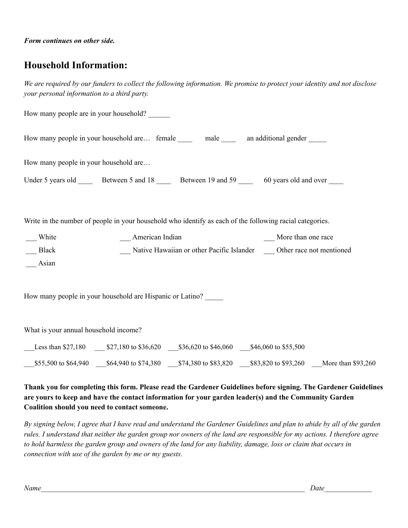# **Household Information:**

We are required by our funders to collect the following information. We promise to protect your identity and not disclose *your personal information to a third party.*

|                                       | How many people are in your household?                                                                   |                                                                          |                       |  |
|---------------------------------------|----------------------------------------------------------------------------------------------------------|--------------------------------------------------------------------------|-----------------------|--|
|                                       | How many people in your household are female ______ male ______ an additional gender _____               |                                                                          |                       |  |
| How many people in your household are |                                                                                                          |                                                                          |                       |  |
|                                       | Under 5 years old _______ Between 5 and 18 ______ Between 19 and 59 _____ 60 years old and over ____     |                                                                          |                       |  |
|                                       | Write in the number of people in your household who identify as each of the following racial categories. |                                                                          |                       |  |
| __ White                              | __ American Indian                                                                                       |                                                                          | __ More than one race |  |
| Black                                 |                                                                                                          | Native Hawaiian or other Pacific Islander _____ Other race not mentioned |                       |  |
| Asian                                 |                                                                                                          |                                                                          |                       |  |
|                                       | How many people in your household are Hispanic or Latino?                                                |                                                                          |                       |  |
| What is your annual household income? |                                                                                                          |                                                                          |                       |  |
|                                       |                                                                                                          |                                                                          |                       |  |
|                                       | 555,500 to \$64,940 16 \$74,380 574,380 6 \$83,820 583,820 to \$93,260 More than \$93,260                |                                                                          |                       |  |

#### **Thank you for completing this form. Please read the Gardener Guidelines before signing. The Gardener Guidelines are yours to keep and have the contact information for your garden leader(s) and the Community Garden Coalition should you need to contact someone.**

By signing below, I agree that I have read and understand the Gardener Guidelines and plan to abide by all of the garden rules. I understand that neither the garden group nor owners of the land are responsible for my actions. I therefore agree to hold harmless the garden group and owners of the land for any liability, damage, loss or claim that occurs in *connection with use of the garden by me or my guests.*